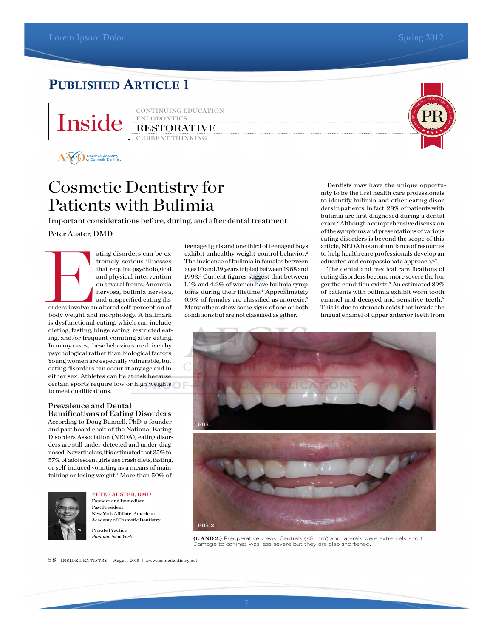# PUBLISHED ARTICLE 1



CONTINUING EDUCATION ENDODONTICS RESTORATIVE



AV D American Academy

# Cosmetic Dentistry for Patients with Bulimia

Important considerations before, during, and after dental treatment

Peter Auster, DMD

ating disorders can be ex-<br>tremely serious illnesses<br>that require psychological<br>and physical intervention<br>on several fronts. Anorexia<br>nervosa, bulimia nervosa,<br>orders involve an altered self-perception of<br>body weight and m tremely serious illnesses that require psychological and physical intervention on several fronts. Anorexia nervosa, bulimia nervosa, and unspecified eating disbody weight and morphology. A hallmark is dysfunctional eating, which can include dieting, fasting, binge eating, restricted eating, and/or frequent vomiting after eating. In many cases, these behaviors are driven by psychological rather than biological factors. Young women are especially vulnerable, but eating disorders can occur at any age and in either sex. Athletes can be at risk because certain sports require low or high weights to meet qualifications.

### Prevalence and Dental Ramifications of Eating Disorders

According to Doug Bunnell, PhD, a founder and past board chair of the National Eating Disorders Association (NEDA), eating disorders are still under-detected and under-diagnosed. Nevertheless, it is estimated that 35% to 57% of adolescent girls use crash diets, fasting, or self-induced vomiting as a means of maintaining or losing weight.<sup>1</sup> More than 50% of



PETER AUSTER, DMD Founder and Immediate Past President New York Afliate, American Academy of Cosmetic Dentistry Private Practice

*Pomona, New York*

teenaged girls and one third of teenaged boys exhibit unhealthy weight-control behavior.<sup>2</sup> The incidence of bulimia in females between ages 10 and 39 years tripled between 1988 and 1993.3 Current figures suggest that between 1.1% and 4.2% of women have bulimia symptoms during their lifetime.<sup>4</sup> Approximately 0.9% of females are classified as anorexic.5 Many others show some signs of one or both conditions but are not classified as either.

Dentists may have the unique opportunity to be the first health care professionals<br>to identify hulinic and other esting discuss Dentists may have the unique opportunity to be the first health care professionals<br>to identify bulimia and other eating disor-Dentists may have the unique opportunity to be the first health care professionals<br>to identify bulimia and other eating disorders in patients; in fact, 28% of patients with bulimia are first diagnosed during a dental exam.6 Although a comprehensive discussion of the symptoms and presentations of various eating disorders is beyond the scope of this article, NEDA has an abundance of resources to help health care professionals develop an educated and compassionate approach.<sup>4,7</sup>

PR

PR<sup>P</sup>ROVE<sup>D</sup> <sup>I</sup><sup>N</sup> <sup>A</sup> <sup>D</sup>OUBLE-BLIN<sup>D</sup> <sup>P</sup>EER-REV<sup>I</sup><sup>E</sup><sup>W</sup> <sup>P</sup>ROCESS

> The dental and medical ramifications of eating disorders become more severe the longer the condition exists.<sup>8</sup> An estimated 89% of patients with bulimia exhibit worn tooth enamel and decayed and sensitive teeth.8 This is due to stomach acids that invade the lingual enamel of upper anterior teeth from



**(1. AND 2.)** Preoperative views. Centrals (<8 mm) and laterals were extremely short. Damage to canines was less severe but they are also shortened.

58 INSIDE DENTISTRY <sup>|</sup> August 2015 <sup>|</sup> www.insidedentistry.net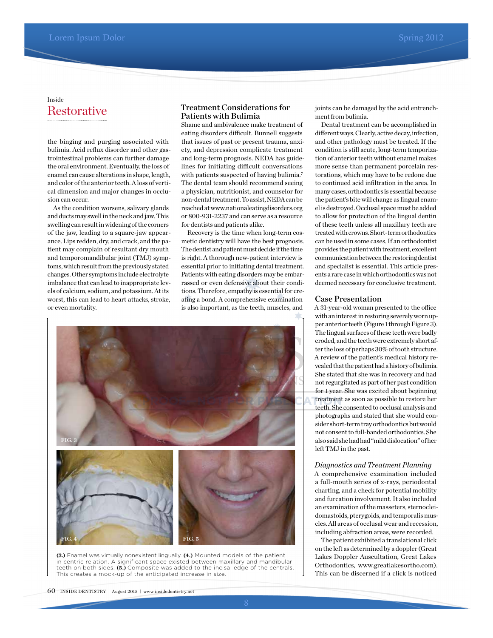### **Restorative** Inside

the binging and purging associated with bulimia. Acid reflux disorder and other gastrointestinal problems can further damage the oral environment. Eventually, the loss of enamel can cause alterations in shape, length, and color of the anterior teeth. A loss of vertical dimension and major changes in occlusion can occur.

As the condition worsens, salivary glands and ducts may swell in the neck and jaw. This swelling can result in widening of the corners of the jaw, leading to a square-jaw appearance. Lips redden, dry, and crack, and the patient may complain of resultant dry mouth and temporomandibular joint (TMJ) symptoms, which result from the previously stated changes. Other symptoms include electrolyte imbalance that can lead to inappropriate levels of calcium, sodium, and potassium. At its worst, this can lead to heart attacks, stroke, or even mortality.

### Treatment Considerations for Patients with Bulimia

Shame and ambivalence make treatment of eating disorders difficult. Bunnell suggests that issues of past or present trauma, anxiety, and depression complicate treatment and long-term prognosis. NEDA has guidelines for initiating difficult conversations with patients suspected of having bulimia.<sup>7</sup> The dental team should recommend seeing a physician, nutritionist, and counselor for non-dental treatment. To assist, NEDA can be reached at www.nationaleatingdisorders.org or 800-931-2237 and can serve as a resource for dentists and patients alike.

Recovery is the time when long-term cosmetic dentistry will have the best prognosis. The dentist and patient must decide if the time is right. A thorough new-patient interview is essential prior to initiating dental treatment. Patients with eating disorders may be embarrassed or even defensive about their conditions. Therefore, empathy is essential for creating a bond. A comprehensive examination is also important, as the teeth, muscles, and



**(3.)** Enamel was virtually nonexistent lingually. **(4.)** Mounted models of the patient in centric relation. A significant space existed between maxillary and mandibular teeth on both sides. **(5.)** Composite was added to the incisal edge of the centrals. This creates a mock-up of the anticipated increase in size.

joints can be damaged by the acid entrenchment from bulimia.

Dental treatment can be accomplished in diferent ways. Clearly, active decay, infection, and other pathology must be treated. If the condition is still acute, long-term temporization of anterior teeth without enamel makes more sense than permanent porcelain restorations, which may have to be redone due to continued acid infiltration in the area. In many cases, orthodontics is essential because the patient's bite will change as lingual enamel is destroyed. Occlusal space must be added to allow for protection of the lingual dentin of these teeth unless all maxillary teeth are treated with crowns. Short-term orthodontics can be used in some cases. If an orthodontist provides the patient with treatment, excellent communication between the restoring dentist and specialist is essential. This article presents a rare case in which orthodontics was not deemed necessary for conclusive treatment.

#### Case Presentation

A 31-year-old woman presented to the office with an interest in restoring severely worn upper anterior teeth (Figure 1 through Figure 3). The lingual surfaces of these teeth were badly eroded, and the teeth were extremely short after the loss of perhaps 30% of tooth structure. A review of the patient's medical history revealed that the patient had a history of bulimia. She stated that she was in recovery and had not regurgitated as part of her past condition for 1 year. She was excited about beginning treatment as soon as possible to restore her teeth. She consented to occlusal analysis and photographs and stated that she would consider short-term tray orthodontics but would not consent to full-banded orthodontics. She also said she had had "mild dislocation" of her left TMJ in the past.

#### *Diagnostics and Treatment Planning*

A comprehensive examination included a full-mouth series of x-rays, periodontal charting, and a check for potential mobility and furcation involvement. It also included an examination of the masseters, sternocleidomastoids, pterygoids, and temporalis muscles. All areas of occlusal wear and recession, including abfraction areas, were recorded.

The patient exhibited a translational click on the left as determined by a doppler (Great Lakes Doppler Auscultation, Great Lakes Orthodontics, www.greatlakesortho.com). This can be discerned if a click is noticed

60 INSIDE DENTISTRY <sup>|</sup> August 2015 <sup>|</sup> www.insidedentistry.net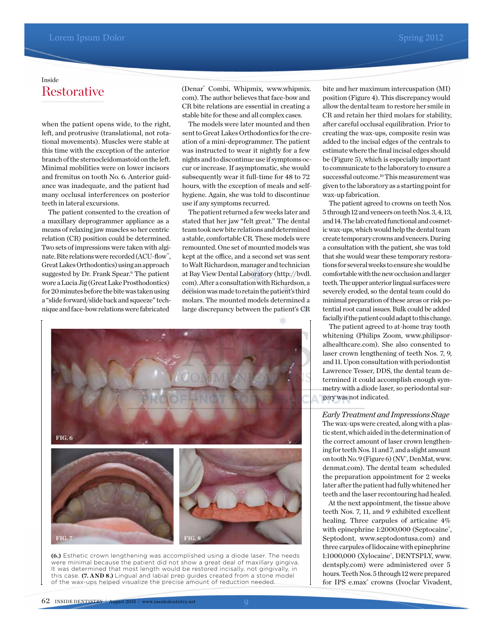# **Restorative** Inside

when the patient opens wide, to the right, left, and protrusive (translational, not rotational movements). Muscles were stable at this time with the exception of the anterior branch of the sternocleidomastoid on the left. Minimal mobilities were on lower incisors and fremitus on tooth No. 6. Anterior guidance was inadequate, and the patient had many occlusal interferences on posterior teeth in lateral excursions.

The patient consented to the creation of a maxillary deprogrammer appliance as a means of relaxing jaw muscles so her centric relation (CR) position could be determined. Two sets of impressions were taken with alginate. Bite relations were recorded (ACU-flow™, Great Lakes Orthodontics) using an approach suggested by Dr. Frank Spear.<sup>9</sup> The patient wore a Lucia Jig (Great Lake Prosthodontics) for 20 minutes before the bite was taken using a "slide forward/slide back and squeeze" technique and face-bow relations were fabricated

(Denar® Combi, Whipmix, www.whipmix. com). The author believes that face-bow and CR bite relations are essential in creating a stable bite for these and all complex cases.

The models were later mounted and then sent to Great Lakes Orthodontics for the creation of a mini-deprogrammer. The patient was instructed to wear it nightly for a few nights and to discontinue use if symptoms occur or increase. If asymptomatic, she would subsequently wear it full-time for 48 to 72 hours, with the exception of meals and selfhygiene. Again, she was told to discontinue use if any symptoms recurred.

The patient returned a few weeks later and stated that her jaw "felt great." The dental team took new bite relations and determined a stable, comfortable CR. These models were remounted. One set of mounted models was kept at the office, and a second set was sent to Walt Richardson, manager and technician at Bay View Dental Laboratory (http://bvdl. com). After a consultation with Richardson, a decision was made to retain the patient's third molars. The mounted models determined a large discrepancy between the patient's CR



**(6.)** Esthetic crown lengthening was accomplished using a diode laser. The needs were minimal because the patient did not show a great deal of maxillary gingiva. It was determined that most length would be restored incisally, not gingivally, in this case. **(7. AND 8.)** Lingual and labial prep guides created from a stone model of the wax-ups helped visualize the precise amount of reduction needed.

bite and her maximum intercuspation (MI) position (Figure 4). This discrepancy would allow the dental team to restore her smile in CR and retain her third molars for stability, after careful occlusal equilibration. Prior to creating the wax-ups, composite resin was added to the incisal edges of the centrals to estimate where the final incisal edges should be (Figure 5), which is especially important to communicate to the laboratory to ensure a successful outcome.<sup>10</sup>This measurement was given to the laboratory as a starting point for wax-up fabrication.

The patient agreed to crowns on teeth Nos. 5 through 12 and veneers on teeth Nos. 3, 4, 13, and 14. The lab created functional and cosmetic wax-ups, which would help the dental team create temporary crowns and veneers. During a consultation with the patient, she was told that she would wear these temporary restorations for several weeks to ensure she would be comfortable with the new occlusion and larger teeth. The upper anterior lingual surfaces were severely eroded, so the dental team could do minimal preparation of these areas or risk potential root canal issues. Bulk could be added facially if the patient could adapt to this change.

The patient agreed to at-home tray tooth whitening (Philips Zoom, www.philipsoralhealthcare.com). She also consented to laser crown lengthening of teeth Nos. 7, 9, and 11. Upon consultation with periodontist Lawrence Tesser, DDS, the dental team determined it could accomplish enough symmetry with a diode laser, so periodontal surgery was not indicated.

*Early Treatment and Impressions Stage* The wax-ups were created, along with a plastic stent, which aided in the determination of the correct amount of laser crown lengthening for teeth Nos. 11 and 7, and a slight amount on tooth No. 9 (Figure 6) (NV°, DenMat, www. denmat.com). The dental team scheduled the preparation appointment for 2 weeks later after the patient had fully whitened her teeth and the laser recontouring had healed.

At the next appointment, the tissue above teeth Nos. 7, 11, and 9 exhibited excellent healing. Three carpules of articaine 4% with epinephrine 1:2000,000 (Septocaine<sup>®</sup>, Septodont, www.septodontusa.com) and three carpules of lidocaine with epinephrine 1:1000,000 (Xylocaine<sup>®</sup>, DENTSPLY, www. dentsply.com) were administered over 5 hours. Teeth Nos. 5 through 12 were prepared for IPS e.max<sup>®</sup> crowns (Ivoclar Vivadent,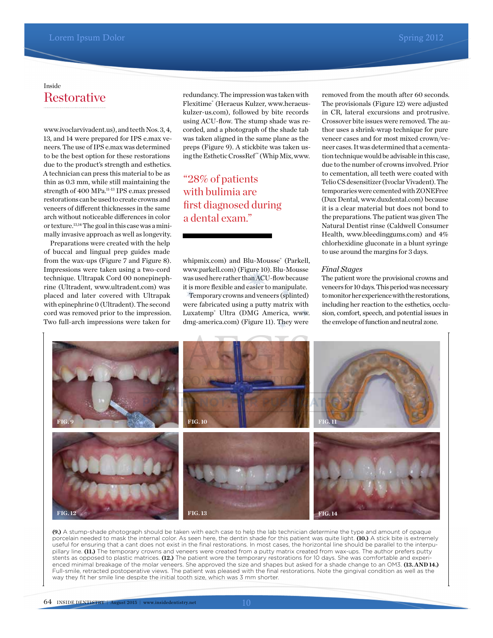## **Restorative** Inside

www.ivoclarvivadent.us), and teeth Nos. 3, 4, 13, and 14 were prepared for IPS e.max veneers. The use of IPS e.max was determined to be the best option for these restorations due to the product's strength and esthetics. A technician can press this material to be as thin as 0.3 mm, while still maintaining the strength of 400 MPa.<sup>11-13</sup> IPS e.max pressed restorations can be used to create crowns and veneers of diferent thicknesses in the same arch without noticeable diferences in color or texture.13,14The goal in this case was a minimally invasive approach as well as longevity.

Preparations were created with the help of buccal and lingual prep guides made from the wax-ups (Figure 7 and Figure 8). Impressions were taken using a two-cord technique. Ultrapak Cord 00 nonepinephrine (Ultradent, www.ultradent.com) was placed and later covered with Ultrapak with epinephrine 0 (Ultradent). The second cord was removed prior to the impression. Two full-arch impressions were taken for

redundancy. The impression was taken with Flexitime® (Heraeus Kulzer, www.heraeuskulzer-us.com), followed by bite records using ACU-flow. The stump shade was recorded, and a photograph of the shade tab was taken aligned in the same plane as the preps (Figure 9). A stickbite was taken using the Esthetic CrossRef™ (Whip Mix, www.

# "28% of patients with bulimia are first diagnosed during a dental exam."

whipmix.com) and Blu-Mousse® (Parkell, www.parkell.com) (Figure 10). Blu-Mousse was used here rather than ACU-flow because it is more flexible and easier to manipulate.

Temporary crowns and veneers (splinted) were fabricated using a putty matrix with Luxatemp® Ultra (DMG America, www. dmg-america.com) (Figure 11). They were removed from the mouth after 60 seconds. The provisionals (Figure 12) were adjusted in CR, lateral excursions and protrusive. Crossover bite issues were removed. The author uses a shrink-wrap technique for pure veneer cases and for most mixed crown/veneer cases. It was determined that a cementation technique would be advisable in this case, due to the number of crowns involved. Prior to cementation, all teeth were coated with Telio CS desensitizer (Ivoclar Vivadent). The temporaries were cemented with ZONEFree (Dux Dental, www.duxdental.com) because it is a clear material but does not bond to the preparations. The patient was given The Natural Dentist rinse (Caldwell Consumer Health, www.bleedinggums.com) and 4% chlorhexidine gluconate in a blunt syringe to use around the margins for 3 days.

#### *Final Stages*

The patient wore the provisional crowns and veneers for 10 days. This period was necessary to monitor her experience with the restorations, including her reaction to the esthetics, occlusion, comfort, speech, and potential issues in the envelope of function and neutral zone.



**(9.)** A stump-shade photograph should be taken with each case to help the lab technician determine the type and amount of opaque porcelain needed to mask the internal color. As seen here, the dentin shade for this patient was quite light. **(10.)** A stick bite is extremely useful for ensuring that a cant does not exist in the final restorations. In most cases, the horizontal line should be parallel to the interpupillary line. **(11.)** The temporary crowns and veneers were created from a putty matrix created from wax-ups. The author prefers putty stents as opposed to plastic matrices. **(12.)** The patient wore the temporary restorations for 10 days. She was comfortable and experienced minimal breakage of the molar veneers. She approved the size and shapes but asked for a shade change to an OM3. **(13. AND 14.)** Full-smile, retracted postoperative views. The patient was pleased with the final restorations. Note the gingival condition as well as the way they fit her smile line despite the initial tooth size, which was 3 mm shorter.